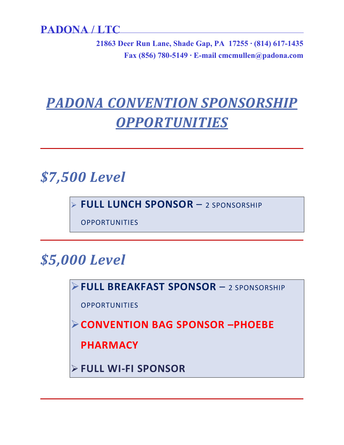**21863 Deer Run Lane, Shade Gap, PA 17255 ∙ (814) 617-1435 Fax (856) 780-5149 ∙ E-mail cmcmullen@padona.com**

# *PADONA CONVENTION SPONSORSHIP OPPORTUNITIES*

*\$7,500 Level*

**FULL LUNCH SPONSOR** – 2 SPONSORSHIP

**OPPORTUNITIES** 

## *\$5,000 Level*

**FULL BREAKFAST SPONSOR** – 2 SPONSORSHIP

**OPPORTUNITIES** 

**CONVENTION BAG SPONSOR –PHOEBE** 

**PHARMACY**

**FULL WI-FI SPONSOR**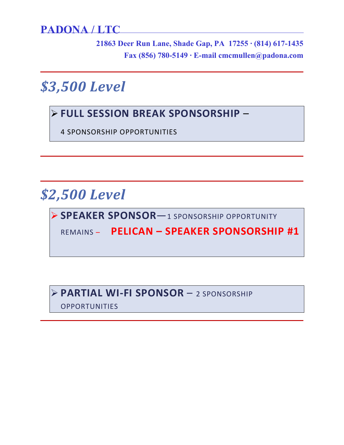**21863 Deer Run Lane, Shade Gap, PA 17255 ∙ (814) 617-1435 Fax (856) 780-5149 ∙ E-mail cmcmullen@padona.com**

*\$3,500 Level* 

### **FULL SESSION BREAK SPONSORSHIP** –

4 SPONSORSHIP OPPORTUNITIES

## *\$2,500 Level*

**SPEAKER SPONSOR**—1 SPONSORSHIP OPPORTUNITY

REMAINS – **PELICAN – SPEAKER SPONSORSHIP #1**

### **PARTIAL WI-FI SPONSOR** – 2 SPONSORSHIP

OPPORTUNITIES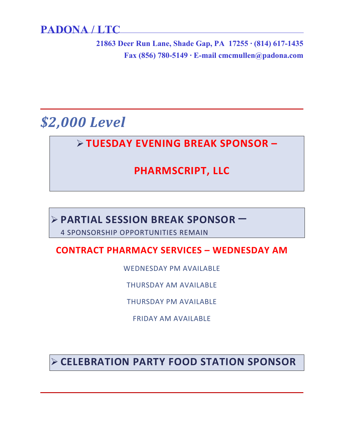**21863 Deer Run Lane, Shade Gap, PA 17255 ∙ (814) 617-1435 Fax (856) 780-5149 ∙ E-mail cmcmullen@padona.com**

## *\$2,000 Level*

### **TUESDAY EVENING BREAK SPONSOR –**

## **PHARMSCRIPT, LLC**

# **PARTIAL SESSION BREAK SPONSOR** – 4 SPONSORSHIP OPPORTUNITIES REMAIN

#### **CONTRACT PHARMACY SERVICES – WEDNESDAY AM**

WEDNESDAY PM AVAILABLE

THURSDAY AM AVAILABLE

THURSDAY PM AVAILABLE

FRIDAY AM AVAILABLE

**CELEBRATION PARTY FOOD STATION SPONSOR**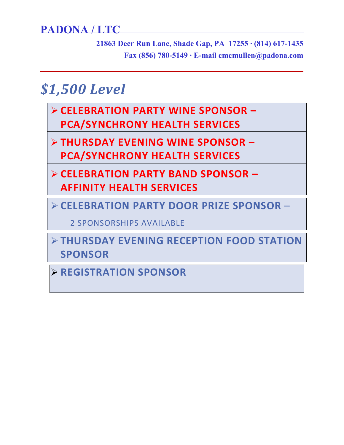**21863 Deer Run Lane, Shade Gap, PA 17255 ∙ (814) 617-1435 Fax (856) 780-5149 ∙ E-mail cmcmullen@padona.com**

# *\$1,500 Level*

- **CELEBRATION PARTY WINE SPONSOR – PCA/SYNCHRONY HEALTH SERVICES**
- **THURSDAY EVENING WINE SPONSOR – PCA/SYNCHRONY HEALTH SERVICES**
- **CELEBRATION PARTY BAND SPONSOR AFFINITY HEALTH SERVICES**
- **CELEBRATION PARTY DOOR PRIZE SPONSOR** –

2 SPONSORSHIPS AVAILABLE

 **THURSDAY EVENING RECEPTION FOOD STATION SPONSOR** 

**REGISTRATION SPONSOR**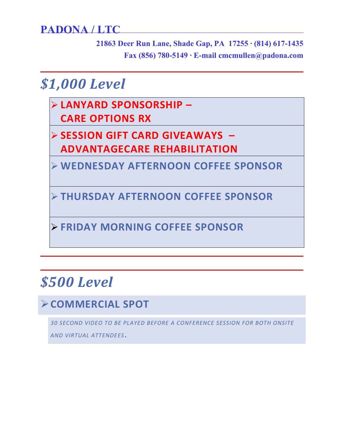**21863 Deer Run Lane, Shade Gap, PA 17255 ∙ (814) 617-1435 Fax (856) 780-5149 ∙ E-mail cmcmullen@padona.com**

## *\$1,000 Level*

- **LANYARD SPONSORSHIP CARE OPTIONS RX**
- **SESSION GIFT CARD GIVEAWAYS – ADVANTAGECARE REHABILITATION**
- **WEDNESDAY AFTERNOON COFFEE SPONSOR**

**THURSDAY AFTERNOON COFFEE SPONSOR** 

**FRIDAY MORNING COFFEE SPONSOR**

# *\$500 Level*

## **COMMERCIAL SPOT**

*30 SECOND VIDEO TO BE PLAYED BEFORE A CONFERENCE SESSION FOR BOTH ONSITE AND VIRTUAL ATTENDEES*.